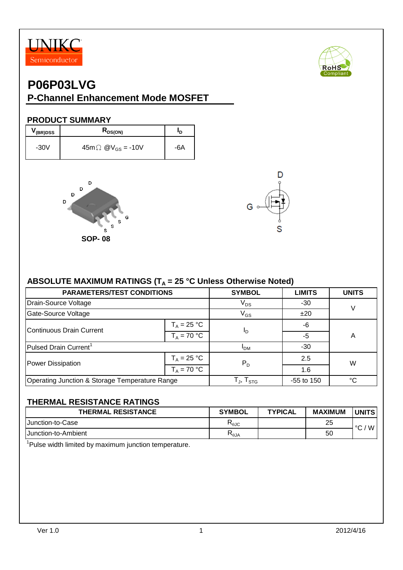



### **PRODUCT SUMMARY**

| V (BR)DSS | $R_{DS(ON)}$                         |     |
|-----------|--------------------------------------|-----|
| $-30V$    | $45m \Omega$ @V <sub>GS</sub> = -10V | -6A |





## ABSOLUTE MAXIMUM RATINGS (T<sub>A</sub> = 25 °C Unless Otherwise Noted)

| <b>PARAMETERS/TEST CONDITIONS</b>              | <b>SYMBOL</b>                                        | <b>LIMITS</b> | <b>UNITS</b> |   |  |
|------------------------------------------------|------------------------------------------------------|---------------|--------------|---|--|
| Drain-Source Voltage                           | $V_{DS}$                                             | $-30$         |              |   |  |
| Gate-Source Voltage                            | $V_{GS}$                                             | ±20           |              |   |  |
| Continuous Drain Current                       | $T_A = 25 °C$                                        |               | -6           |   |  |
|                                                | $T_A = 70 °C$                                        | םי            | $-5$         | A |  |
| Pulsed Drain Current <sup>1</sup>              | 'DM                                                  | $-30$         |              |   |  |
| Power Dissipation                              | $T_A = 25 °C$                                        | $P_D$         | 2.5          | W |  |
|                                                | $T_A = 70 °C$                                        |               | 1.6          |   |  |
| Operating Junction & Storage Temperature Range | $\mathsf{T}_{\mathsf{J}}, \mathsf{T}_{\mathsf{STG}}$ | $-55$ to 150  | °C           |   |  |

### **THERMAL RESISTANCE RATINGS**

| <b>THERMAL RESISTANCE</b> | <b>SYMBOL</b>       | <b>TYPICAL</b> | <b>MAXIMUM</b> | <b>IUNITS</b>            |
|---------------------------|---------------------|----------------|----------------|--------------------------|
| <b>I</b> Junction-to-Case | სიპ                 |                | 25             | W<br>$\circ$             |
| IJunction-to-Ambient      | D<br>$R_{\theta$ JA |                | 50             | $\overline{\phantom{0}}$ |

<sup>1</sup>Pulse width limited by maximum junction temperature.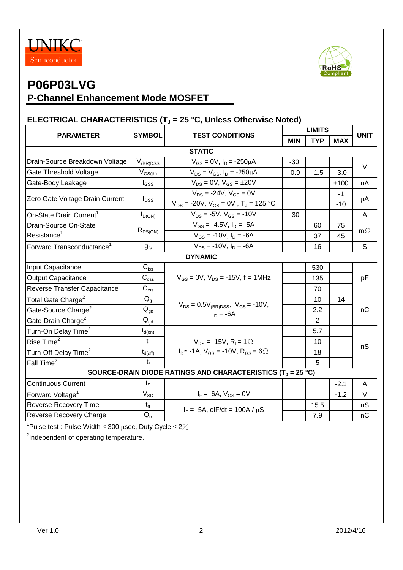



# **P06P03LVG**

## **P-Channel Enhancement Mode MOSFET**

### **ELECTRICAL CHARACTERISTICS (T<sup>J</sup> = 25 °C, Unless Otherwise Noted)**

|                                                                                    | <b>SYMBOL</b><br><b>TEST CONDITIONS</b> |                                                                                           | <b>LIMITS</b> |                |               | <b>UNIT</b> |  |  |
|------------------------------------------------------------------------------------|-----------------------------------------|-------------------------------------------------------------------------------------------|---------------|----------------|---------------|-------------|--|--|
| <b>PARAMETER</b>                                                                   |                                         |                                                                                           | <b>MIN</b>    | <b>TYP</b>     | <b>MAX</b>    |             |  |  |
| <b>STATIC</b>                                                                      |                                         |                                                                                           |               |                |               |             |  |  |
| Drain-Source Breakdown Voltage                                                     | $V_{(BR)DSS}$                           | $V_{GS} = 0V$ , $I_D = -250 \mu A$                                                        |               |                |               | $\vee$      |  |  |
| Gate Threshold Voltage                                                             | $\mathsf{V}_{\mathsf{GS}(\mathsf{th})}$ | $V_{DS} = V_{GS}$ , $I_D = -250 \mu A$                                                    | $-0.9$        | $-1.5$         | $-3.0$        |             |  |  |
| Gate-Body Leakage                                                                  | $I_{GSS}$                               | $V_{DS} = 0V$ , $V_{GS} = \pm 20V$                                                        |               |                | ±100          | nA          |  |  |
| Zero Gate Voltage Drain Current                                                    | $I_{DSS}$                               | $V_{DS}$ = -24V, $V_{GS}$ = 0V<br>$V_{DS}$ = -20V, $V_{GS}$ = 0V, T <sub>J</sub> = 125 °C |               |                | $-1$<br>$-10$ | μA          |  |  |
| On-State Drain Current <sup>1</sup>                                                | $I_{D(ON)}$                             | $V_{DS}$ = -5V, $V_{GS}$ = -10V                                                           | $-30$         |                |               | A           |  |  |
| Drain-Source On-State                                                              |                                         | $V_{GS} = -4.5V$ , $I_D = -5A$                                                            |               | 60             | 75            |             |  |  |
| Resistance <sup>1</sup>                                                            | $R_{DS(ON)}$                            | $V_{GS}$ = -10V, $I_D$ = -6A                                                              |               | 37             | 45            | $m\Omega$   |  |  |
| Forward Transconductance <sup>1</sup>                                              | $g_{fs}$                                | $V_{DS}$ = -10V, $I_D$ = -6A                                                              |               | 16             |               | S           |  |  |
|                                                                                    |                                         | <b>DYNAMIC</b>                                                                            |               |                |               |             |  |  |
| Input Capacitance                                                                  | $C_{\text{iss}}$                        |                                                                                           |               | 530            |               |             |  |  |
| <b>Output Capacitance</b>                                                          | $C_{\rm oss}$                           | $V_{GS} = 0V$ , $V_{DS} = -15V$ , f = 1MHz                                                |               | 135            |               | pF          |  |  |
| Reverse Transfer Capacitance                                                       | $C_{\text{rss}}$                        |                                                                                           |               | 70             |               |             |  |  |
| Total Gate Charge <sup>2</sup>                                                     | $Q_{q}$                                 |                                                                                           |               | 10             | 14            | nC          |  |  |
| Gate-Source Charge <sup>2</sup>                                                    | $Q_{qs}$                                | $V_{DS} = 0.5V_{(BR)DSS}$ , $V_{GS} = -10V$ ,<br>$I_D = -6A$                              |               | 2.2            |               |             |  |  |
| Gate-Drain Charge <sup>2</sup>                                                     | $Q_{\text{gd}}$                         |                                                                                           |               | $\overline{2}$ |               |             |  |  |
| Turn-On Delay Time <sup>2</sup>                                                    | $t_{d(on)}$                             |                                                                                           |               | 5.7            |               |             |  |  |
| Rise Time <sup>2</sup>                                                             | $t_{r}$                                 | $V_{DS}$ = -15V, R <sub>1</sub> = 1 $\Omega$                                              |               | 10             |               | nS          |  |  |
| Turn-Off Delay Time <sup>2</sup>                                                   | $t_{d(\text{off})}$                     | $ID \cong -1A$ , $VGS = -10V$ , $RGS = 6\Omega$                                           |               | 18             |               |             |  |  |
| Fall Time <sup>2</sup>                                                             | $t_{\rm f}$                             |                                                                                           |               | 5              |               |             |  |  |
| SOURCE-DRAIN DIODE RATINGS AND CHARACTERISTICS (T <sub>J</sub> = 25 °C)            |                                         |                                                                                           |               |                |               |             |  |  |
| <b>Continuous Current</b>                                                          | $I_{\rm S}$                             |                                                                                           |               |                | $-2.1$        | A           |  |  |
| Forward Voltage <sup>1</sup>                                                       | $V_{SD}$                                | $I_F = -6A$ , $V_{GS} = 0V$                                                               |               |                | $-1.2$        | $\vee$      |  |  |
| <b>Reverse Recovery Time</b>                                                       | $t_{rr}$                                | $I_F = -5A$ , dlF/dt = 100A / $\mu$ S                                                     |               | 15.5           |               | nS          |  |  |
| Reverse Recovery Charge                                                            | $Q_{rr}$                                |                                                                                           |               | 7.9            |               | nC          |  |  |
| $1_{\text{Dulco}}$ tost $\cdot$ Dulco Width $\leq$ 200 uses. Duty Cyclo $\leq$ 201 |                                         |                                                                                           |               |                |               |             |  |  |

'Pulse test : Pulse Width  $\leq 300$   $\mu$ sec, Duty Cycle  $\leq 2\%$ .

<sup>2</sup>Independent of operating temperature.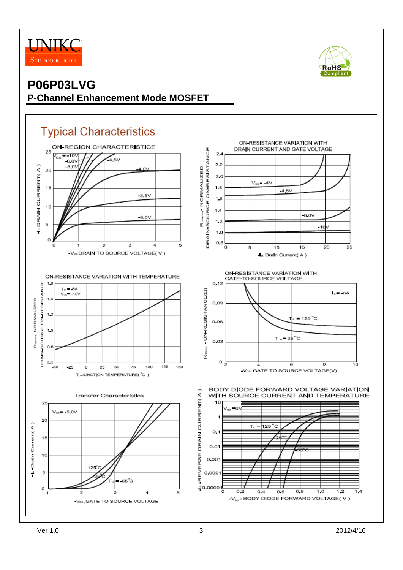



# **Typical Characteristics**

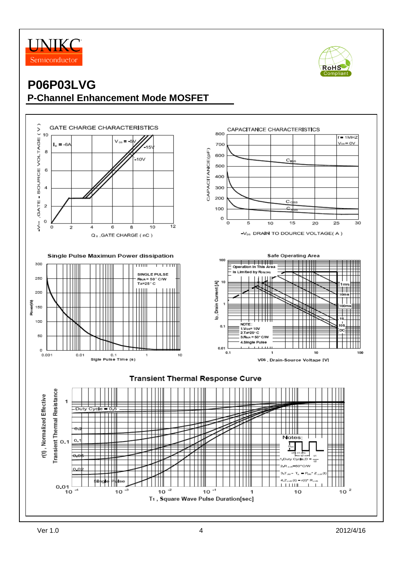